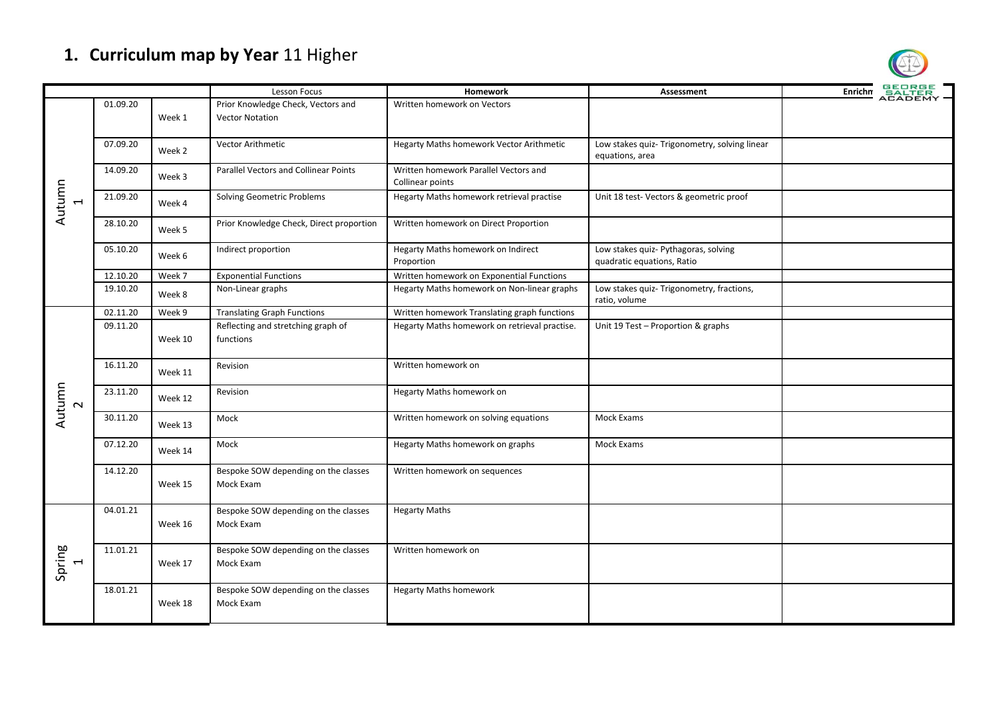## **1. Curriculum map by Year** 11 Higher

|                                |          |         | Lesson Focus                                      | <b>Homework</b>                                           | Assessment                                                         | <b>GEORGE</b><br>SALTER<br>ACADEMY<br>Enrichn |
|--------------------------------|----------|---------|---------------------------------------------------|-----------------------------------------------------------|--------------------------------------------------------------------|-----------------------------------------------|
| Autumn                         | 01.09.20 |         | Prior Knowledge Check, Vectors and                | Written homework on Vectors                               |                                                                    |                                               |
|                                |          | Week 1  | <b>Vector Notation</b>                            |                                                           |                                                                    |                                               |
|                                | 07.09.20 | Week 2  | Vector Arithmetic                                 | <b>Hegarty Maths homework Vector Arithmetic</b>           | Low stakes quiz- Trigonometry, solving linear                      |                                               |
|                                |          |         |                                                   |                                                           | equations, area                                                    |                                               |
|                                | 14.09.20 | Week 3  | Parallel Vectors and Collinear Points             | Written homework Parallel Vectors and<br>Collinear points |                                                                    |                                               |
|                                | 21.09.20 | Week 4  | <b>Solving Geometric Problems</b>                 | Hegarty Maths homework retrieval practise                 | Unit 18 test-Vectors & geometric proof                             |                                               |
|                                | 28.10.20 | Week 5  | Prior Knowledge Check, Direct proportion          | Written homework on Direct Proportion                     |                                                                    |                                               |
|                                | 05.10.20 | Week 6  | Indirect proportion                               | Hegarty Maths homework on Indirect<br>Proportion          | Low stakes quiz- Pythagoras, solving<br>quadratic equations, Ratio |                                               |
|                                | 12.10.20 | Week 7  | <b>Exponential Functions</b>                      | Written homework on Exponential Functions                 |                                                                    |                                               |
|                                | 19.10.20 | Week 8  | Non-Linear graphs                                 | Hegarty Maths homework on Non-linear graphs               | Low stakes quiz- Trigonometry, fractions,<br>ratio, volume         |                                               |
|                                | 02.11.20 | Week 9  | <b>Translating Graph Functions</b>                | Written homework Translating graph functions              |                                                                    |                                               |
|                                | 09.11.20 |         | Reflecting and stretching graph of                | Hegarty Maths homework on retrieval practise.             | Unit 19 Test - Proportion & graphs                                 |                                               |
|                                |          | Week 10 | functions                                         |                                                           |                                                                    |                                               |
|                                | 16.11.20 | Week 11 | Revision                                          | Written homework on                                       |                                                                    |                                               |
| Autumn<br>$\sim$               | 23.11.20 | Week 12 | Revision                                          | Hegarty Maths homework on                                 |                                                                    |                                               |
|                                | 30.11.20 | Week 13 | Mock                                              | Written homework on solving equations                     | Mock Exams                                                         |                                               |
|                                | 07.12.20 | Week 14 | Mock                                              | Hegarty Maths homework on graphs                          | Mock Exams                                                         |                                               |
|                                | 14.12.20 | Week 15 | Bespoke SOW depending on the classes<br>Mock Exam | Written homework on sequences                             |                                                                    |                                               |
|                                | 04.01.21 | Week 16 | Bespoke SOW depending on the classes<br>Mock Exam | <b>Hegarty Maths</b>                                      |                                                                    |                                               |
| Spring<br>$\blacktriangleleft$ | 11.01.21 | Week 17 | Bespoke SOW depending on the classes<br>Mock Exam | Written homework on                                       |                                                                    |                                               |
|                                | 18.01.21 | Week 18 | Bespoke SOW depending on the classes<br>Mock Exam | <b>Hegarty Maths homework</b>                             |                                                                    |                                               |

 $\circledR$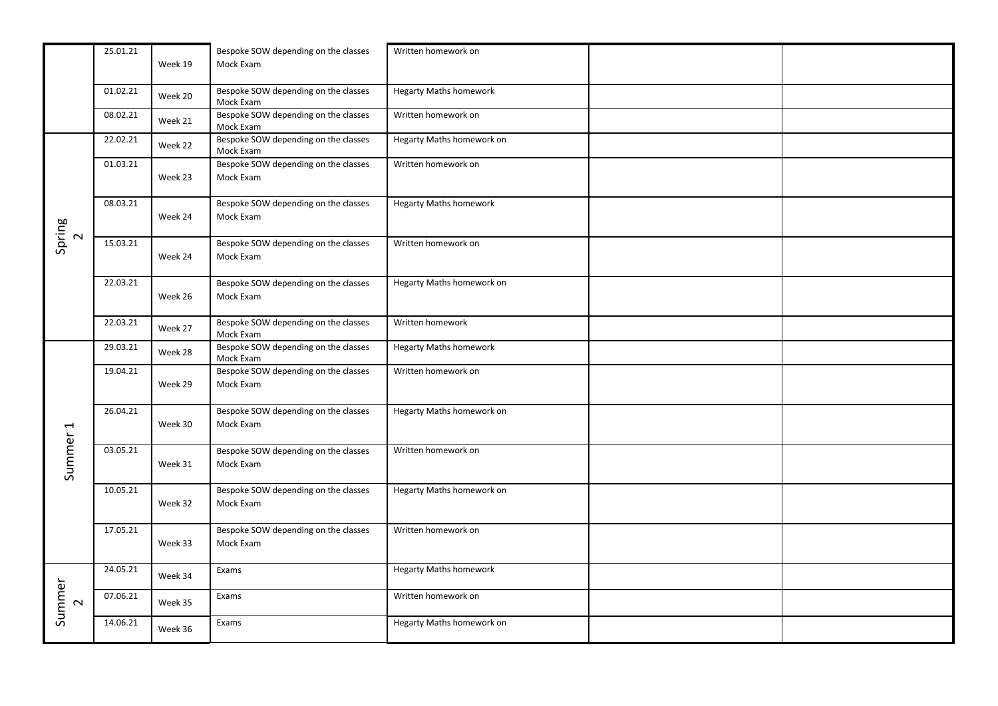|                          | 25.01.21 | Week 19 | Bespoke SOW depending on the classes<br>Mock Exam | Written homework on           |  |
|--------------------------|----------|---------|---------------------------------------------------|-------------------------------|--|
|                          | 01.02.21 | Week 20 | Bespoke SOW depending on the classes<br>Mock Exam | <b>Hegarty Maths homework</b> |  |
|                          | 08.02.21 | Week 21 | Bespoke SOW depending on the classes<br>Mock Exam | Written homework on           |  |
| Spring<br>$\sim$         | 22.02.21 | Week 22 | Bespoke SOW depending on the classes<br>Mock Exam | Hegarty Maths homework on     |  |
|                          | 01.03.21 | Week 23 | Bespoke SOW depending on the classes<br>Mock Exam | Written homework on           |  |
|                          | 08.03.21 | Week 24 | Bespoke SOW depending on the classes<br>Mock Exam | <b>Hegarty Maths homework</b> |  |
|                          | 15.03.21 | Week 24 | Bespoke SOW depending on the classes<br>Mock Exam | Written homework on           |  |
|                          | 22.03.21 | Week 26 | Bespoke SOW depending on the classes<br>Mock Exam | Hegarty Maths homework on     |  |
|                          | 22.03.21 | Week 27 | Bespoke SOW depending on the classes<br>Mock Exam | Written homework              |  |
|                          | 29.03.21 | Week 28 | Bespoke SOW depending on the classes<br>Mock Exam | <b>Hegarty Maths homework</b> |  |
|                          | 19.04.21 | Week 29 | Bespoke SOW depending on the classes<br>Mock Exam | Written homework on           |  |
| $\overline{\phantom{0}}$ | 26.04.21 | Week 30 | Bespoke SOW depending on the classes<br>Mock Exam | Hegarty Maths homework on     |  |
| Summer                   | 03.05.21 | Week 31 | Bespoke SOW depending on the classes<br>Mock Exam | Written homework on           |  |
|                          | 10.05.21 | Week 32 | Bespoke SOW depending on the classes<br>Mock Exam | Hegarty Maths homework on     |  |
|                          | 17.05.21 | Week 33 | Bespoke SOW depending on the classes<br>Mock Exam | Written homework on           |  |
|                          | 24.05.21 | Week 34 | Exams                                             | <b>Hegarty Maths homework</b> |  |
| Summer<br>$\sim$         | 07.06.21 | Week 35 | Exams                                             | Written homework on           |  |
|                          | 14.06.21 | Week 36 | Exams                                             | Hegarty Maths homework on     |  |